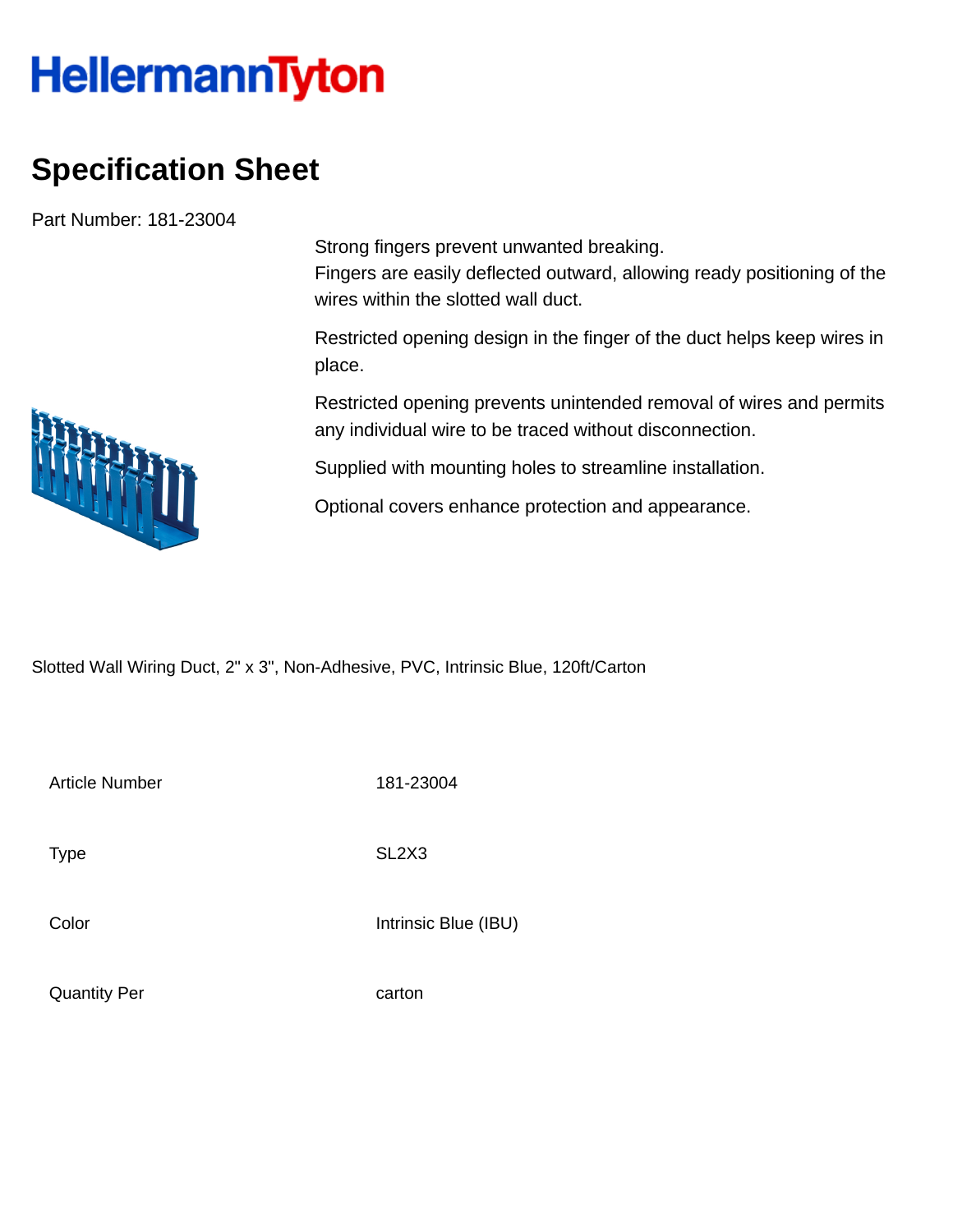## **HellermannTyton**

## **Specification Sheet**

Part Number: 181-23004

Strong fingers prevent unwanted breaking. Fingers are easily deflected outward, allowing ready positioning of the wires within the slotted wall duct.

Restricted opening design in the finger of the duct helps keep wires in place.

Restricted opening prevents unintended removal of wires and permits any individual wire to be traced without disconnection.

Supplied with mounting holes to streamline installation.

Optional covers enhance protection and appearance.

Slotted Wall Wiring Duct, 2" x 3", Non-Adhesive, PVC, Intrinsic Blue, 120ft/Carton

Article Number 181-23004

Type SL2X3

Color Intrinsic Blue (IBU)

Quantity Per carton

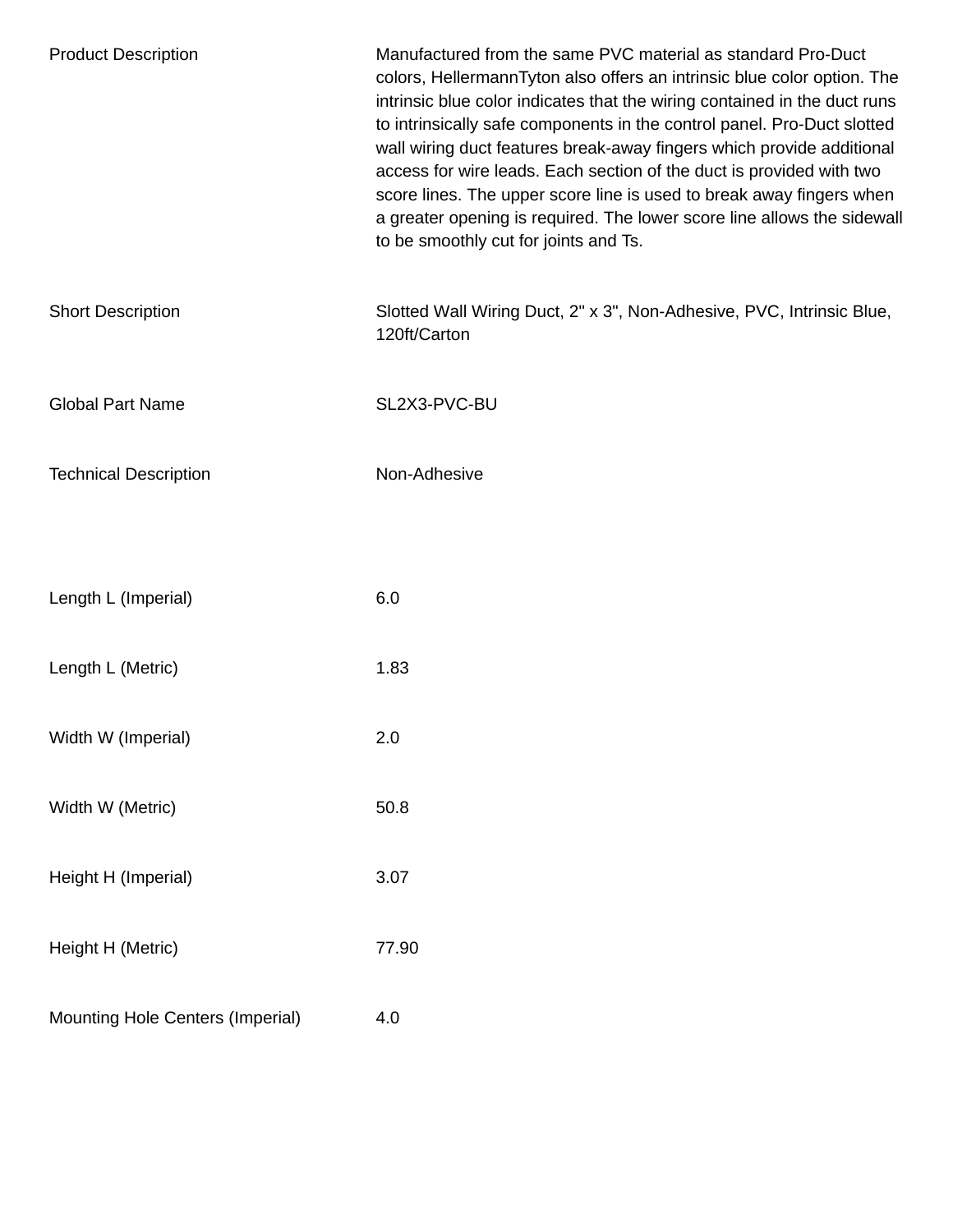| <b>Product Description</b>       | Manufactured from the same PVC material as standard Pro-Duct<br>colors, HellermannTyton also offers an intrinsic blue color option. The<br>intrinsic blue color indicates that the wiring contained in the duct runs<br>to intrinsically safe components in the control panel. Pro-Duct slotted<br>wall wiring duct features break-away fingers which provide additional<br>access for wire leads. Each section of the duct is provided with two<br>score lines. The upper score line is used to break away fingers when<br>a greater opening is required. The lower score line allows the sidewall<br>to be smoothly cut for joints and Ts. |
|----------------------------------|----------------------------------------------------------------------------------------------------------------------------------------------------------------------------------------------------------------------------------------------------------------------------------------------------------------------------------------------------------------------------------------------------------------------------------------------------------------------------------------------------------------------------------------------------------------------------------------------------------------------------------------------|
| <b>Short Description</b>         | Slotted Wall Wiring Duct, 2" x 3", Non-Adhesive, PVC, Intrinsic Blue,<br>120ft/Carton                                                                                                                                                                                                                                                                                                                                                                                                                                                                                                                                                        |
| <b>Global Part Name</b>          | SL2X3-PVC-BU                                                                                                                                                                                                                                                                                                                                                                                                                                                                                                                                                                                                                                 |
| <b>Technical Description</b>     | Non-Adhesive                                                                                                                                                                                                                                                                                                                                                                                                                                                                                                                                                                                                                                 |
| Length L (Imperial)              | 6.0                                                                                                                                                                                                                                                                                                                                                                                                                                                                                                                                                                                                                                          |
| Length L (Metric)                | 1.83                                                                                                                                                                                                                                                                                                                                                                                                                                                                                                                                                                                                                                         |
| Width W (Imperial)               | 2.0                                                                                                                                                                                                                                                                                                                                                                                                                                                                                                                                                                                                                                          |
| Width W (Metric)                 | 50.8                                                                                                                                                                                                                                                                                                                                                                                                                                                                                                                                                                                                                                         |
| Height H (Imperial)              | 3.07                                                                                                                                                                                                                                                                                                                                                                                                                                                                                                                                                                                                                                         |
| Height H (Metric)                | 77.90                                                                                                                                                                                                                                                                                                                                                                                                                                                                                                                                                                                                                                        |
| Mounting Hole Centers (Imperial) | 4.0                                                                                                                                                                                                                                                                                                                                                                                                                                                                                                                                                                                                                                          |